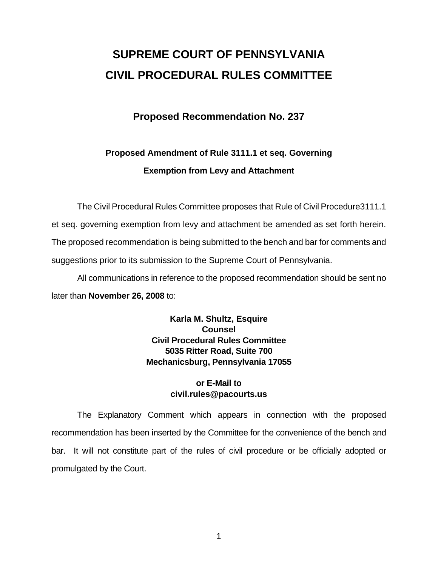# **SUPREME COURT OF PENNSYLVANIA CIVIL PROCEDURAL RULES COMMITTEE**

# **Proposed Recommendation No. 237**

# **Proposed Amendment of Rule 3111.1 et seq. Governing Exemption from Levy and Attachment**

 The Civil Procedural Rules Committee proposes that Rule of Civil Procedure3111.1 et seq. governing exemption from levy and attachment be amended as set forth herein. The proposed recommendation is being submitted to the bench and bar for comments and suggestions prior to its submission to the Supreme Court of Pennsylvania.

 All communications in reference to the proposed recommendation should be sent no later than **November 26, 2008** to:

> **Karla M. Shultz, Esquire Counsel Civil Procedural Rules Committee 5035 Ritter Road, Suite 700 Mechanicsburg, Pennsylvania 17055**

## **or E-Mail to civil.rules@pacourts.us**

 The Explanatory Comment which appears in connection with the proposed recommendation has been inserted by the Committee for the convenience of the bench and bar. It will not constitute part of the rules of civil procedure or be officially adopted or promulgated by the Court.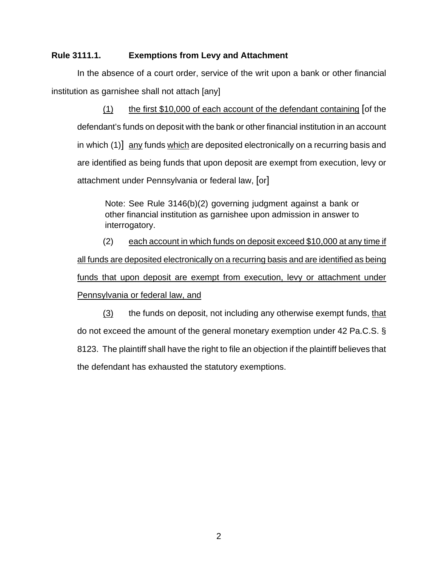#### **Rule 3111.1. Exemptions from Levy and Attachment**

In the absence of a court order, service of the writ upon a bank or other financial institution as garnishee shall not attach [any]

(1) the first \$10,000 of each account of the defendant containing [of the defendant's funds on deposit with the bank or other financial institution in an account in which (1)] any funds which are deposited electronically on a recurring basis and are identified as being funds that upon deposit are exempt from execution, levy or attachment under Pennsylvania or federal law, [or]

Note: See Rule 3146(b)(2) governing judgment against a bank or other financial institution as garnishee upon admission in answer to interrogatory.

(2) each account in which funds on deposit exceed \$10,000 at any time if all funds are deposited electronically on a recurring basis and are identified as being funds that upon deposit are exempt from execution, levy or attachment under Pennsylvania or federal law, and

(3) the funds on deposit, not including any otherwise exempt funds, that do not exceed the amount of the general monetary exemption under 42 Pa.C.S. § 8123. The plaintiff shall have the right to file an objection if the plaintiff believes that the defendant has exhausted the statutory exemptions.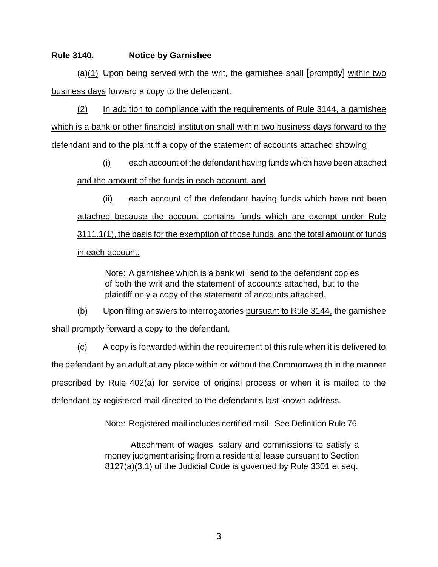#### **Rule 3140. Notice by Garnishee**

(a)(1) Upon being served with the writ, the garnishee shall [promptly] within two business days forward a copy to the defendant.

(2) In addition to compliance with the requirements of Rule 3144, a garnishee which is a bank or other financial institution shall within two business days forward to the defendant and to the plaintiff a copy of the statement of accounts attached showing

(i) each account of the defendant having funds which have been attached and the amount of the funds in each account, and

(ii) each account of the defendant having funds which have not been attached because the account contains funds which are exempt under Rule 3111.1(1), the basis for the exemption of those funds, and the total amount of funds in each account.

Note: A garnishee which is a bank will send to the defendant copies of both the writ and the statement of accounts attached, but to the plaintiff only a copy of the statement of accounts attached.

(b) Upon filing answers to interrogatories pursuant to Rule 3144, the garnishee shall promptly forward a copy to the defendant.

(c) A copy is forwarded within the requirement of this rule when it is delivered to the defendant by an adult at any place within or without the Commonwealth in the manner prescribed by Rule 402(a) for service of original process or when it is mailed to the defendant by registered mail directed to the defendant's last known address.

Note: Registered mail includes certified mail. See Definition Rule 76.

Attachment of wages, salary and commissions to satisfy a money judgment arising from a residential lease pursuant to Section 8127(a)(3.1) of the Judicial Code is governed by Rule 3301 et seq.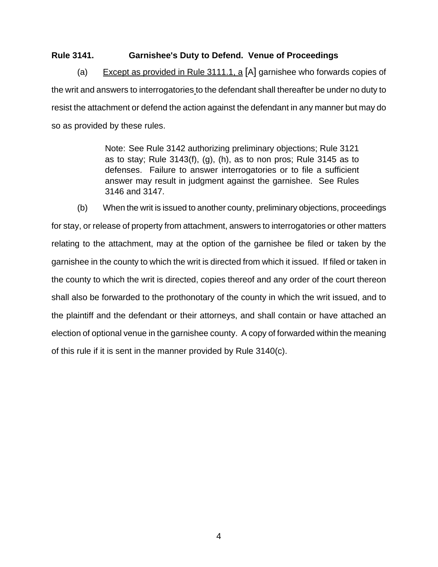#### **Rule 3141. Garnishee's Duty to Defend. Venue of Proceedings**

(a) Except as provided in Rule 3111.1, a [A] garnishee who forwards copies of the writ and answers to interrogatories to the defendant shall thereafter be under no duty to resist the attachment or defend the action against the defendant in any manner but may do so as provided by these rules.

> Note: See Rule 3142 authorizing preliminary objections; Rule 3121 as to stay; Rule 3143(f), (g), (h), as to non pros; Rule 3145 as to defenses. Failure to answer interrogatories or to file a sufficient answer may result in judgment against the garnishee. See Rules 3146 and 3147.

(b) When the writ is issued to another county, preliminary objections, proceedings for stay, or release of property from attachment, answers to interrogatories or other matters relating to the attachment, may at the option of the garnishee be filed or taken by the garnishee in the county to which the writ is directed from which it issued. If filed or taken in the county to which the writ is directed, copies thereof and any order of the court thereon shall also be forwarded to the prothonotary of the county in which the writ issued, and to the plaintiff and the defendant or their attorneys, and shall contain or have attached an election of optional venue in the garnishee county. A copy of forwarded within the meaning of this rule if it is sent in the manner provided by Rule 3140(c).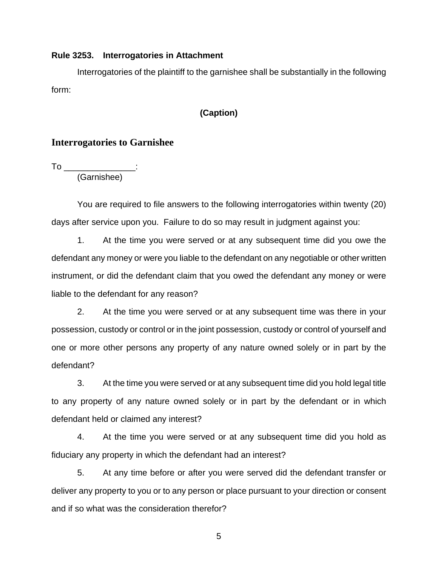#### **Rule 3253. Interrogatories in Attachment**

Interrogatories of the plaintiff to the garnishee shall be substantially in the following form:

#### **(Caption)**

### **Interrogatories to Garnishee**

To \_\_\_\_\_\_\_\_\_\_\_\_\_\_\_\_\_\_\_: (Garnishee)

You are required to file answers to the following interrogatories within twenty (20) days after service upon you. Failure to do so may result in judgment against you:

 1. At the time you were served or at any subsequent time did you owe the defendant any money or were you liable to the defendant on any negotiable or other written instrument, or did the defendant claim that you owed the defendant any money or were liable to the defendant for any reason?

2. At the time you were served or at any subsequent time was there in your possession, custody or control or in the joint possession, custody or control of yourself and one or more other persons any property of any nature owned solely or in part by the defendant?

3. At the time you were served or at any subsequent time did you hold legal title to any property of any nature owned solely or in part by the defendant or in which defendant held or claimed any interest?

4. At the time you were served or at any subsequent time did you hold as fiduciary any property in which the defendant had an interest?

5. At any time before or after you were served did the defendant transfer or deliver any property to you or to any person or place pursuant to your direction or consent and if so what was the consideration therefor?

5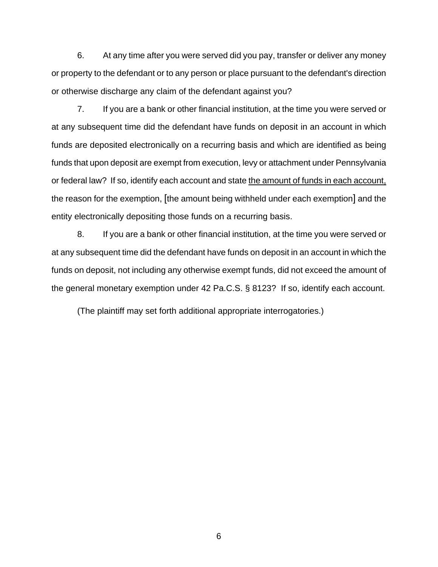6. At any time after you were served did you pay, transfer or deliver any money or property to the defendant or to any person or place pursuant to the defendant's direction or otherwise discharge any claim of the defendant against you?

 7. If you are a bank or other financial institution, at the time you were served or at any subsequent time did the defendant have funds on deposit in an account in which funds are deposited electronically on a recurring basis and which are identified as being funds that upon deposit are exempt from execution, levy or attachment under Pennsylvania or federal law? If so, identify each account and state the amount of funds in each account, the reason for the exemption, [the amount being withheld under each exemption] and the entity electronically depositing those funds on a recurring basis.

8. If you are a bank or other financial institution, at the time you were served or at any subsequent time did the defendant have funds on deposit in an account in which the funds on deposit, not including any otherwise exempt funds, did not exceed the amount of the general monetary exemption under 42 Pa.C.S. § 8123? If so, identify each account.

(The plaintiff may set forth additional appropriate interrogatories.)

6